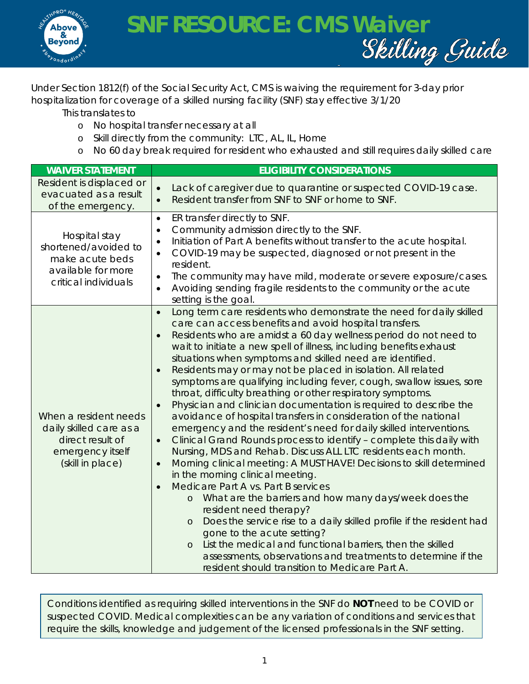

Under Section 1812(f) of the Social Security Act, CMS is waiving the requirement for 3-day prior hospitalization for coverage of a skilled nursing facility (SNF) stay effective 3/1/20

This translates to

- o No hospital transfer necessary at all
- o Skill directly from the community: LTC, AL, IL, Home
- o No 60 day break required for resident who exhausted and still requires daily skilled care

| <b>WAIVER STATEMENT</b>                                                                                      | <b>ELIGIBILITY CONSIDERATIONS</b>                                                                                                                                                                                                                                                                                                                                                                                                                                                                                                                                                                                                                                                                                                                                                                                                                                                                                                                                                                                                                                                                                                                                                                                                                                                                                                                                                                                                                                                                                                                            |
|--------------------------------------------------------------------------------------------------------------|--------------------------------------------------------------------------------------------------------------------------------------------------------------------------------------------------------------------------------------------------------------------------------------------------------------------------------------------------------------------------------------------------------------------------------------------------------------------------------------------------------------------------------------------------------------------------------------------------------------------------------------------------------------------------------------------------------------------------------------------------------------------------------------------------------------------------------------------------------------------------------------------------------------------------------------------------------------------------------------------------------------------------------------------------------------------------------------------------------------------------------------------------------------------------------------------------------------------------------------------------------------------------------------------------------------------------------------------------------------------------------------------------------------------------------------------------------------------------------------------------------------------------------------------------------------|
| Resident is displaced or<br>evacuated as a result<br>of the emergency.                                       | Lack of caregiver due to quarantine or suspected COVID-19 case.<br>$\bullet$<br>$\bullet$<br>Resident transfer from SNF to SNF or home to SNF.                                                                                                                                                                                                                                                                                                                                                                                                                                                                                                                                                                                                                                                                                                                                                                                                                                                                                                                                                                                                                                                                                                                                                                                                                                                                                                                                                                                                               |
| Hospital stay<br>shortened/avoided to<br>make acute beds<br>available for more<br>critical individuals       | ER transfer directly to SNF.<br>$\bullet$<br>Community admission directly to the SNF.<br>$\bullet$<br>Initiation of Part A benefits without transfer to the acute hospital.<br>$\bullet$<br>COVID-19 may be suspected, diagnosed or not present in the<br>$\bullet$<br>resident.<br>The community may have mild, moderate or severe exposure/cases.<br>$\bullet$<br>Avoiding sending fragile residents to the community or the acute<br>$\bullet$<br>setting is the goal.                                                                                                                                                                                                                                                                                                                                                                                                                                                                                                                                                                                                                                                                                                                                                                                                                                                                                                                                                                                                                                                                                    |
| When a resident needs<br>daily skilled care as a<br>direct result of<br>emergency itself<br>(skill in place) | Long term care residents who demonstrate the need for daily skilled<br>$\bullet$<br>care can access benefits and avoid hospital transfers.<br>Residents who are amidst a 60 day wellness period do not need to<br>$\bullet$<br>wait to initiate a new spell of illness, including benefits exhaust<br>situations when symptoms and skilled need are identified.<br>Residents may or may not be placed in isolation. All related<br>$\bullet$<br>symptoms are qualifying including fever, cough, swallow issues, sore<br>throat, difficulty breathing or other respiratory symptoms.<br>Physician and clinician documentation is required to describe the<br>$\bullet$<br>avoidance of hospital transfers in consideration of the national<br>emergency and the resident's need for daily skilled interventions.<br>Clinical Grand Rounds process to identify - complete this daily with<br>$\bullet$<br>Nursing, MDS and Rehab. Discuss ALL LTC residents each month.<br>Morning clinical meeting: A MUST HAVE! Decisions to skill determined<br>$\bullet$<br>in the morning clinical meeting.<br>Medicare Part A vs. Part B services<br>$\bullet$<br>What are the barriers and how many days/week does the<br>$\circ$<br>resident need therapy?<br>Does the service rise to a daily skilled profile if the resident had<br>$\circ$<br>gone to the acute setting?<br>List the medical and functional barriers, then the skilled<br>$\circ$<br>assessments, observations and treatments to determine if the<br>resident should transition to Medicare Part A. |

Conditions identified as requiring skilled interventions in the SNF do **NOT** need to be COVID or suspected COVID. Medical complexities can be any variation of conditions and services that require the skills, knowledge and judgement of the licensed professionals in the SNF setting.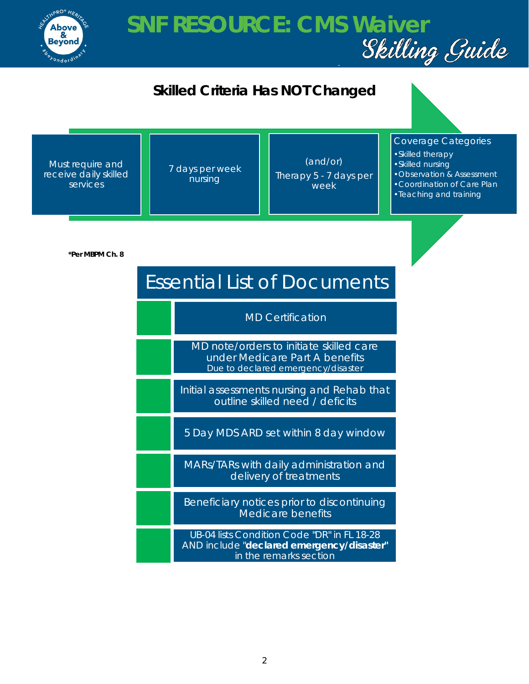

## **SNF RESOURCE: CMS Waiver<br>Skilling Guide**



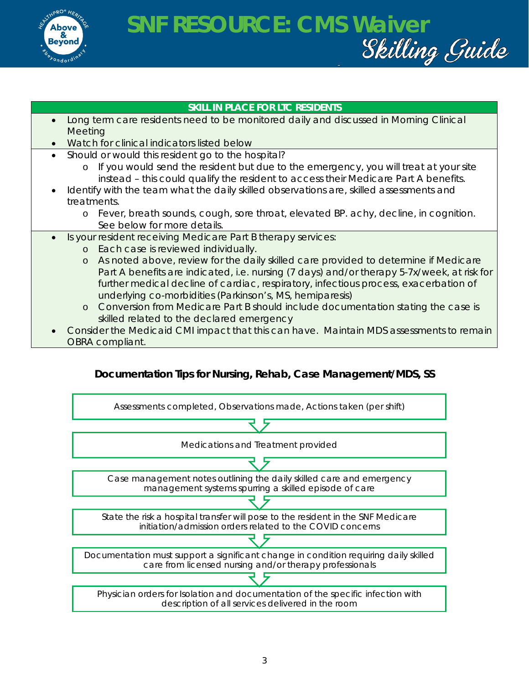

## **SNF RESOURCE: CMS Waiver**

#### **SKILL IN PLACE FOR LTC RESIDENTS**

- Long term care residents need to be monitored daily and discussed in Morning Clinical **Meeting**
- Watch for clinical indicators listed below
- Should or would this resident go to the hospital?
	- o If you would send the resident but due to the emergency, you will treat at your site instead – this could qualify the resident to access their Medicare Part A benefits.
- Identify with the team what the daily skilled observations are, skilled assessments and treatments.
	- o Fever, breath sounds, cough, sore throat, elevated BP. achy, decline, in cognition. See below for more details.
- Is your resident receiving Medicare Part B therapy services:
	- o Each case is reviewed individually.
	- o As noted above, review for the daily skilled care provided to determine if Medicare Part A benefits are indicated, i.e. nursing (7 days) and/or therapy 5-7x/week, at risk for further medical decline of cardiac, respiratory, infectious process, exacerbation of underlying co-morbidities (Parkinson's, MS, hemiparesis)
	- o Conversion from Medicare Part B should include documentation stating the case is skilled related to the declared emergency
- Consider the Medicaid CMI impact that this can have. Maintain MDS assessments to remain OBRA compliant.

### **Documentation Tips for Nursing, Rehab, Case Management/MDS, SS**